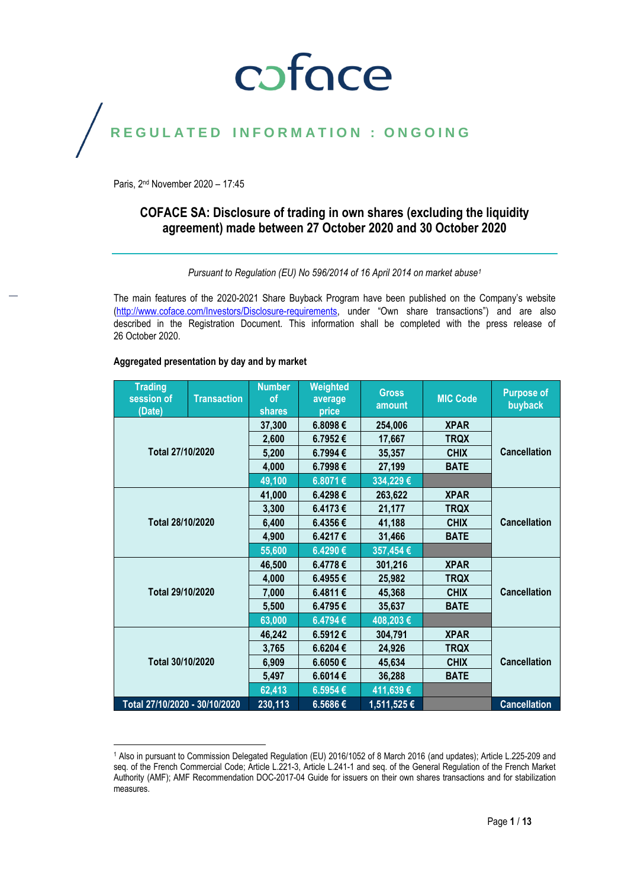### coface

### REGULATED INFORMATION : ONGOING

Paris, 2 nd November 2020 – 17:45

#### **COFACE SA: Disclosure of trading in own shares (excluding the liquidity agreement) made between 27 October 2020 and 30 October 2020**

*Pursuant to Regulation (EU) No 596/2014 of 16 April 2014 on market abuse<sup>1</sup>*

The main features of the 2020-2021 Share Buyback Program have been published on the Company's website [\(http://www.coface.com/Investors/Disclosure-requirements](http://www.coface.com/Investors/Disclosure-requirements), under "Own share transactions") and are also described in the Registration Document. This information shall be completed with the press release of 26 October 2020.

#### **Aggregated presentation by day and by market**

 $\overline{a}$ 

| <b>Trading</b><br>session of<br>(Date) | <b>Transaction</b> | <b>Number</b><br>of<br><b>shares</b> | Weighted<br>average<br>price | <b>Gross</b><br>amount | <b>MIC Code</b> | <b>Purpose of</b><br>buyback |
|----------------------------------------|--------------------|--------------------------------------|------------------------------|------------------------|-----------------|------------------------------|
|                                        |                    | 37,300                               | 6.8098€                      | 254,006                | <b>XPAR</b>     |                              |
|                                        |                    | 2,600                                | 6.7952€                      | 17,667                 | <b>TRQX</b>     |                              |
| Total 27/10/2020                       |                    | 5,200                                | 6.7994€                      | 35,357                 | <b>CHIX</b>     | <b>Cancellation</b>          |
|                                        |                    | 4,000                                | 6.7998€                      | 27,199                 | <b>BATE</b>     |                              |
|                                        |                    | 49,100                               | 6.8071€                      | 334,229€               |                 |                              |
|                                        |                    | 41,000                               | 6.4298€                      | 263,622                | <b>XPAR</b>     |                              |
|                                        |                    | 3,300                                | 6.4173€                      | 21,177                 | <b>TRQX</b>     |                              |
| Total 28/10/2020                       |                    | 6,400                                | 6.4356€                      | 41,188                 | <b>CHIX</b>     | <b>Cancellation</b>          |
|                                        |                    | 4,900                                | 6.4217€                      | 31,466                 | <b>BATE</b>     |                              |
|                                        |                    | 55,600                               | 6.4290€                      | 357,454€               |                 |                              |
|                                        |                    | 46,500                               | 6.4778€                      | 301,216                | <b>XPAR</b>     |                              |
|                                        |                    | 4,000                                | 6.4955€                      | 25,982                 | <b>TRQX</b>     |                              |
| Total 29/10/2020                       |                    | 7,000                                | 6.4811€                      | 45,368                 | <b>CHIX</b>     | <b>Cancellation</b>          |
|                                        |                    | 5,500                                | 6.4795€                      | 35,637                 | <b>BATE</b>     |                              |
|                                        |                    | 63,000                               | 6.4794€                      | 408,203€               |                 |                              |
|                                        |                    |                                      | 6.5912€                      | 304,791                | <b>XPAR</b>     |                              |
| Total 30/10/2020                       |                    | 3,765                                | 6.6204€                      | 24,926                 | <b>TRQX</b>     |                              |
|                                        |                    | 6,909                                | 6.6050€                      | 45,634                 | <b>CHIX</b>     | <b>Cancellation</b>          |
|                                        |                    | 5,497                                | 6.6014€                      | 36,288                 | <b>BATE</b>     |                              |
|                                        |                    | 62,413                               | 6.5954€                      | 411,639€               |                 |                              |
| Total 27/10/2020 - 30/10/2020          |                    | 230,113                              | 6.5686€                      | 1,511,525€             |                 | <b>Cancellation</b>          |

<sup>1</sup> Also in pursuant to Commission Delegated Regulation (EU) 2016/1052 of 8 March 2016 (and updates); Article L.225-209 and seq. of the French Commercial Code; Article L.221-3, Article L.241-1 and seq. of the General Regulation of the French Market Authority (AMF); AMF Recommendation DOC-2017-04 Guide for issuers on their own shares transactions and for stabilization measures.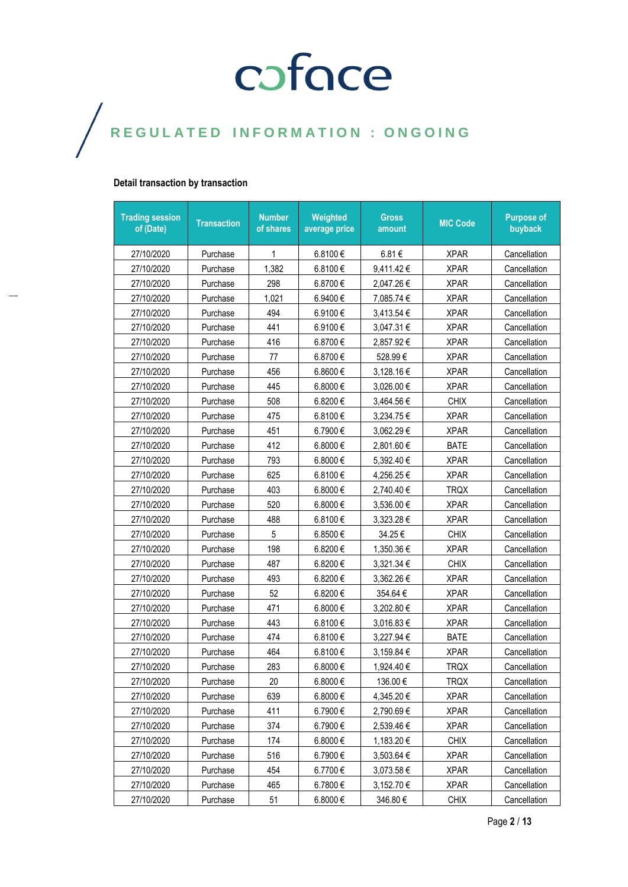#### **Detail transaction by transaction**

| <b>Trading session</b><br>of (Date) | <b>Transaction</b> | <b>Number</b><br>of shares | Weighted<br>average price | <b>Gross</b><br>amount | <b>MIC Code</b> | <b>Purpose of</b><br>buyback |
|-------------------------------------|--------------------|----------------------------|---------------------------|------------------------|-----------------|------------------------------|
| 27/10/2020                          | Purchase           | 1                          | 6.8100€                   | 6.81€                  | <b>XPAR</b>     | Cancellation                 |
| 27/10/2020                          | Purchase           | 1,382                      | 6.8100€                   | 9,411.42€              | <b>XPAR</b>     | Cancellation                 |
| 27/10/2020                          | Purchase           | 298                        | 6.8700€                   | 2,047.26 €             | <b>XPAR</b>     | Cancellation                 |
| 27/10/2020                          | Purchase           | 1,021                      | 6.9400€                   | 7,085.74 €             | <b>XPAR</b>     | Cancellation                 |
| 27/10/2020                          | Purchase           | 494                        | 6.9100€                   | 3,413.54 €             | <b>XPAR</b>     | Cancellation                 |
| 27/10/2020                          | Purchase           | 441                        | 6.9100€                   | 3,047.31 €             | <b>XPAR</b>     | Cancellation                 |
| 27/10/2020                          | Purchase           | 416                        | 6.8700€                   | 2,857.92€              | <b>XPAR</b>     | Cancellation                 |
| 27/10/2020                          | Purchase           | 77                         | 6.8700€                   | 528.99€                | <b>XPAR</b>     | Cancellation                 |
| 27/10/2020                          | Purchase           | 456                        | 6.8600€                   | 3,128.16 €             | <b>XPAR</b>     | Cancellation                 |
| 27/10/2020                          | Purchase           | 445                        | 6.8000€                   | 3,026.00 €             | <b>XPAR</b>     | Cancellation                 |
| 27/10/2020                          | Purchase           | 508                        | 6.8200€                   | 3,464.56 €             | <b>CHIX</b>     | Cancellation                 |
| 27/10/2020                          | Purchase           | 475                        | 6.8100€                   | 3,234.75 €             | <b>XPAR</b>     | Cancellation                 |
| 27/10/2020                          | Purchase           | 451                        | 6.7900€                   | 3,062.29€              | <b>XPAR</b>     | Cancellation                 |
| 27/10/2020                          | Purchase           | 412                        | 6.8000 €                  | 2,801.60 €             | <b>BATE</b>     | Cancellation                 |
| 27/10/2020                          | Purchase           | 793                        | 6.8000€                   | 5,392.40 €             | <b>XPAR</b>     | Cancellation                 |
| 27/10/2020                          | Purchase           | 625                        | 6.8100€                   | 4,256.25 €             | <b>XPAR</b>     | Cancellation                 |
| 27/10/2020                          | Purchase           | 403                        | 6.8000€                   | 2,740.40 €             | <b>TRQX</b>     | Cancellation                 |
| 27/10/2020                          | Purchase           | 520                        | 6.8000€                   | 3,536.00 €             | <b>XPAR</b>     | Cancellation                 |
| 27/10/2020                          | Purchase           | 488                        | 6.8100€                   | 3,323.28€              | <b>XPAR</b>     | Cancellation                 |
| 27/10/2020                          | Purchase           | 5                          | 6.8500€                   | 34.25€                 | <b>CHIX</b>     | Cancellation                 |
| 27/10/2020                          | Purchase           | 198                        | 6.8200€                   | 1,350.36 €             | <b>XPAR</b>     | Cancellation                 |
| 27/10/2020                          | Purchase           | 487                        | 6.8200€                   | 3,321.34 €             | <b>CHIX</b>     | Cancellation                 |
| 27/10/2020                          | Purchase           | 493                        | 6.8200€                   | 3,362.26 €             | <b>XPAR</b>     | Cancellation                 |
| 27/10/2020                          | Purchase           | 52                         | 6.8200€                   | 354.64€                | <b>XPAR</b>     | Cancellation                 |
| 27/10/2020                          | Purchase           | 471                        | 6.8000€                   | 3,202.80 €             | <b>XPAR</b>     | Cancellation                 |
| 27/10/2020                          | Purchase           | 443                        | 6.8100€                   | 3,016.83 €             | <b>XPAR</b>     | Cancellation                 |
| 27/10/2020                          | Purchase           | 474                        | 6.8100€                   | 3,227.94 €             | <b>BATE</b>     | Cancellation                 |
| 27/10/2020                          | Purchase           | 464                        | 6.8100€                   | 3,159.84 €             | <b>XPAR</b>     | Cancellation                 |
| 27/10/2020                          | Purchase           | 283                        | 6.8000€                   | 1,924.40€              | <b>TRQX</b>     | Cancellation                 |
| 27/10/2020                          | Purchase           | 20                         | 6.8000€                   | 136.00€                | <b>TRQX</b>     | Cancellation                 |
| 27/10/2020                          | Purchase           | 639                        | 6.8000€                   | 4,345.20 €             | <b>XPAR</b>     | Cancellation                 |
| 27/10/2020                          | Purchase           | 411                        | 6.7900€                   | 2,790.69€              | <b>XPAR</b>     | Cancellation                 |
| 27/10/2020                          | Purchase           | 374                        | 6.7900€                   | 2,539.46 €             | <b>XPAR</b>     | Cancellation                 |
| 27/10/2020                          | Purchase           | 174                        | 6.8000€                   | 1,183.20 €             | <b>CHIX</b>     | Cancellation                 |
| 27/10/2020                          | Purchase           | 516                        | 6.7900€                   | 3,503.64 €             | <b>XPAR</b>     | Cancellation                 |
| 27/10/2020                          | Purchase           | 454                        | 6.7700€                   | 3,073.58 €             | <b>XPAR</b>     | Cancellation                 |
| 27/10/2020                          | Purchase           | 465                        | 6.7800€                   | 3,152.70 €             | <b>XPAR</b>     | Cancellation                 |
| 27/10/2020                          | Purchase           | 51                         | 6.8000€                   | 346.80€                | <b>CHIX</b>     | Cancellation                 |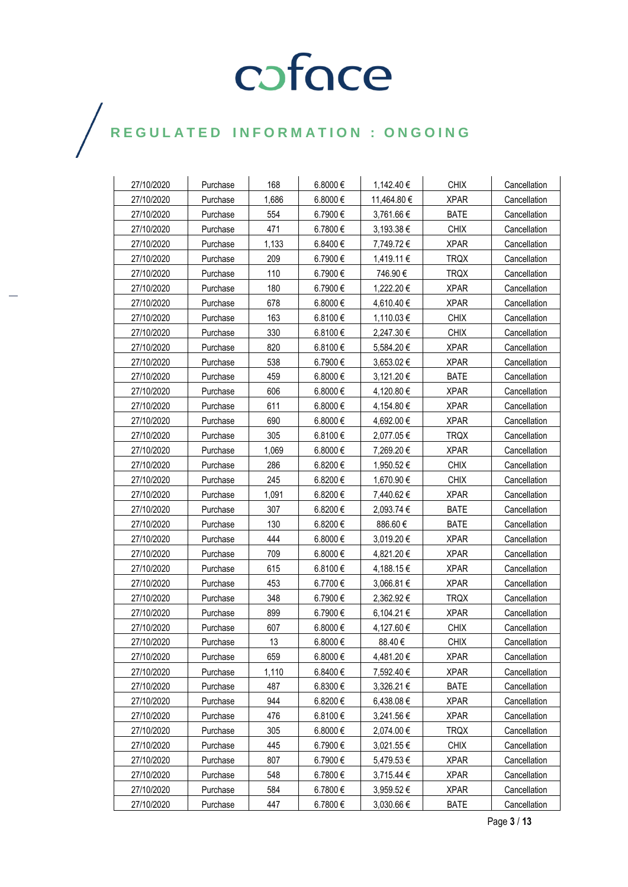| 27/10/2020 | Purchase | 168   | 6.8000€  | 1,142.40 €  | <b>CHIX</b> | Cancellation |
|------------|----------|-------|----------|-------------|-------------|--------------|
| 27/10/2020 | Purchase | 1,686 | 6.8000€  | 11,464.80 € | <b>XPAR</b> | Cancellation |
| 27/10/2020 | Purchase | 554   | 6.7900€  | 3,761.66 €  | <b>BATE</b> | Cancellation |
| 27/10/2020 | Purchase | 471   | 6.7800€  | 3,193.38 €  | <b>CHIX</b> | Cancellation |
| 27/10/2020 | Purchase | 1,133 | 6.8400€  | 7,749.72 €  | <b>XPAR</b> | Cancellation |
| 27/10/2020 | Purchase | 209   | 6.7900€  | 1,419.11 €  | <b>TRQX</b> | Cancellation |
| 27/10/2020 | Purchase | 110   | 6.7900€  | 746.90€     | <b>TRQX</b> | Cancellation |
| 27/10/2020 | Purchase | 180   | 6.7900€  | 1,222.20 €  | <b>XPAR</b> | Cancellation |
| 27/10/2020 | Purchase | 678   | 6.8000 € | 4,610.40 €  | <b>XPAR</b> | Cancellation |
| 27/10/2020 | Purchase | 163   | 6.8100€  | 1,110.03 €  | <b>CHIX</b> | Cancellation |
| 27/10/2020 | Purchase | 330   | 6.8100€  | 2,247.30 €  | <b>CHIX</b> | Cancellation |
| 27/10/2020 | Purchase | 820   | 6.8100€  | 5,584.20 €  | <b>XPAR</b> | Cancellation |
| 27/10/2020 | Purchase | 538   | 6.7900€  | 3,653.02€   | <b>XPAR</b> | Cancellation |
| 27/10/2020 | Purchase | 459   | 6.8000€  | 3,121.20 €  | <b>BATE</b> | Cancellation |
| 27/10/2020 | Purchase | 606   | 6.8000€  | 4,120.80 €  | <b>XPAR</b> | Cancellation |
| 27/10/2020 | Purchase | 611   | 6.8000€  | 4,154.80 €  | <b>XPAR</b> | Cancellation |
| 27/10/2020 | Purchase | 690   | 6.8000€  | 4,692.00 €  | <b>XPAR</b> | Cancellation |
| 27/10/2020 | Purchase | 305   | 6.8100€  | 2,077.05 €  | <b>TRQX</b> | Cancellation |
| 27/10/2020 | Purchase | 1,069 | 6.8000€  | 7,269.20 €  | <b>XPAR</b> | Cancellation |
| 27/10/2020 | Purchase | 286   | 6.8200€  | 1,950.52 €  | <b>CHIX</b> | Cancellation |
| 27/10/2020 | Purchase | 245   | 6.8200€  | 1,670.90 €  | <b>CHIX</b> | Cancellation |
| 27/10/2020 | Purchase | 1,091 | 6.8200€  | 7,440.62 €  | <b>XPAR</b> | Cancellation |
| 27/10/2020 | Purchase | 307   | 6.8200€  | 2,093.74 €  | <b>BATE</b> | Cancellation |
| 27/10/2020 | Purchase | 130   | 6.8200€  | 886.60€     | <b>BATE</b> | Cancellation |
| 27/10/2020 | Purchase | 444   | 6.8000€  | 3,019.20 €  | <b>XPAR</b> | Cancellation |
| 27/10/2020 | Purchase | 709   | 6.8000€  | 4,821.20 €  | <b>XPAR</b> | Cancellation |
| 27/10/2020 | Purchase | 615   | 6.8100 € | 4,188.15 €  | <b>XPAR</b> | Cancellation |
| 27/10/2020 | Purchase | 453   | 6.7700€  | 3,066.81 €  | <b>XPAR</b> | Cancellation |
| 27/10/2020 | Purchase | 348   | 6.7900€  | 2,362.92 €  | <b>TRQX</b> | Cancellation |
| 27/10/2020 | Purchase | 899   | 6.7900€  | 6,104.21 €  | <b>XPAR</b> | Cancellation |
| 27/10/2020 | Purchase | 607   | 6.8000€  | 4,127.60 €  | <b>CHIX</b> | Cancellation |
| 27/10/2020 | Purchase | 13    | 6.8000 € | 88.40€      | <b>CHIX</b> | Cancellation |
| 27/10/2020 | Purchase | 659   | 6.8000 € | 4,481.20 €  | <b>XPAR</b> | Cancellation |
| 27/10/2020 | Purchase | 1,110 | 6.8400€  | 7,592.40 €  | <b>XPAR</b> | Cancellation |
| 27/10/2020 | Purchase | 487   | 6.8300€  | 3,326.21 €  | <b>BATE</b> | Cancellation |
| 27/10/2020 | Purchase | 944   | 6.8200 € | 6,438.08 €  | <b>XPAR</b> | Cancellation |
| 27/10/2020 | Purchase | 476   | 6.8100€  | 3,241.56 €  | <b>XPAR</b> | Cancellation |
| 27/10/2020 | Purchase | 305   | 6.8000€  | 2,074.00 €  | <b>TRQX</b> | Cancellation |
| 27/10/2020 | Purchase | 445   | 6.7900€  | 3,021.55 €  | <b>CHIX</b> | Cancellation |
| 27/10/2020 | Purchase | 807   | 6.7900€  | 5,479.53 €  | <b>XPAR</b> | Cancellation |
| 27/10/2020 | Purchase | 548   | 6.7800€  | 3,715.44 €  | <b>XPAR</b> | Cancellation |
| 27/10/2020 | Purchase | 584   | 6.7800€  | 3,959.52 €  | <b>XPAR</b> | Cancellation |
| 27/10/2020 | Purchase | 447   | 6.7800€  | 3,030.66 €  | <b>BATE</b> | Cancellation |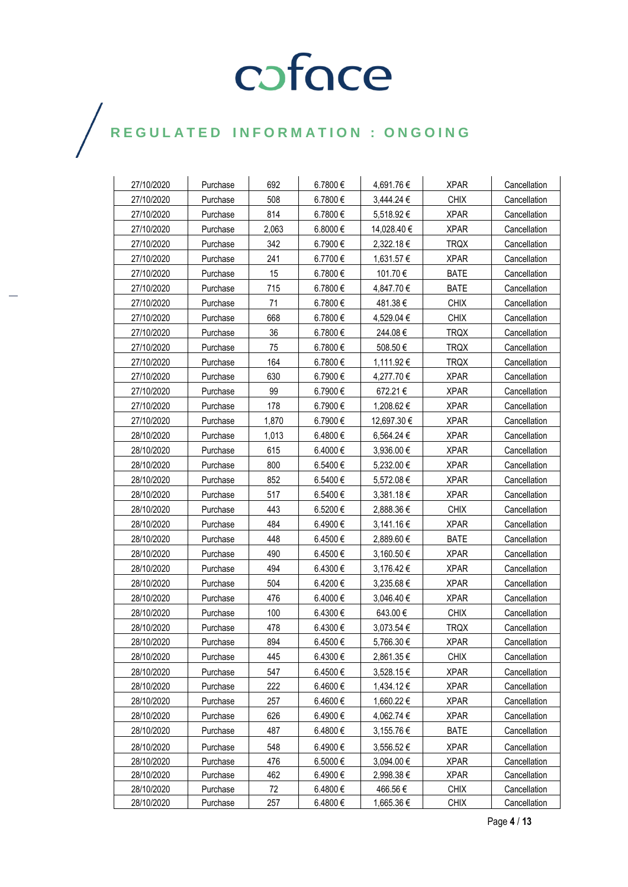| 27/10/2020 | Purchase | 692   | 6.7800€ | 4,691.76€   | <b>XPAR</b> | Cancellation |
|------------|----------|-------|---------|-------------|-------------|--------------|
| 27/10/2020 | Purchase | 508   | 6.7800€ | 3,444.24 €  | <b>CHIX</b> | Cancellation |
| 27/10/2020 | Purchase | 814   | 6.7800€ | 5,518.92 €  | <b>XPAR</b> | Cancellation |
| 27/10/2020 | Purchase | 2,063 | 6.8000€ | 14,028.40 € | <b>XPAR</b> | Cancellation |
| 27/10/2020 | Purchase | 342   | 6.7900€ | 2,322.18 €  | <b>TRQX</b> | Cancellation |
| 27/10/2020 | Purchase | 241   | 6.7700€ | 1,631.57 €  | <b>XPAR</b> | Cancellation |
| 27/10/2020 | Purchase | 15    | 6.7800€ | 101.70€     | <b>BATE</b> | Cancellation |
| 27/10/2020 | Purchase | 715   | 6.7800€ | 4,847.70 €  | <b>BATE</b> | Cancellation |
| 27/10/2020 | Purchase | 71    | 6.7800€ | 481.38€     | <b>CHIX</b> | Cancellation |
| 27/10/2020 | Purchase | 668   | 6.7800€ | 4,529.04 €  | <b>CHIX</b> | Cancellation |
| 27/10/2020 | Purchase | 36    | 6.7800€ | 244.08€     | <b>TRQX</b> | Cancellation |
| 27/10/2020 | Purchase | 75    | 6.7800€ | 508.50€     | <b>TRQX</b> | Cancellation |
| 27/10/2020 | Purchase | 164   | 6.7800€ | 1,111.92 €  | <b>TRQX</b> | Cancellation |
| 27/10/2020 | Purchase | 630   | 6.7900€ | 4,277.70 €  | <b>XPAR</b> | Cancellation |
| 27/10/2020 | Purchase | 99    | 6.7900€ | 672.21€     | <b>XPAR</b> | Cancellation |
| 27/10/2020 | Purchase | 178   | 6.7900€ | 1,208.62 €  | <b>XPAR</b> | Cancellation |
| 27/10/2020 | Purchase | 1,870 | 6.7900€ | 12,697.30 € | <b>XPAR</b> | Cancellation |
| 28/10/2020 | Purchase | 1,013 | 6.4800€ | 6,564.24 €  | <b>XPAR</b> | Cancellation |
| 28/10/2020 | Purchase | 615   | 6.4000€ | 3,936.00€   | <b>XPAR</b> | Cancellation |
| 28/10/2020 | Purchase | 800   | 6.5400€ | 5,232.00 €  | <b>XPAR</b> | Cancellation |
| 28/10/2020 | Purchase | 852   | 6.5400€ | 5,572.08 €  | <b>XPAR</b> | Cancellation |
| 28/10/2020 | Purchase | 517   | 6.5400€ | 3,381.18€   | <b>XPAR</b> | Cancellation |
| 28/10/2020 | Purchase | 443   | 6.5200€ | 2,888.36 €  | <b>CHIX</b> | Cancellation |
| 28/10/2020 | Purchase | 484   | 6.4900€ | 3,141.16 €  | <b>XPAR</b> | Cancellation |
| 28/10/2020 | Purchase | 448   | 6.4500€ | 2,889.60 €  | <b>BATE</b> | Cancellation |
| 28/10/2020 | Purchase | 490   | 6.4500€ | 3,160.50 €  | <b>XPAR</b> | Cancellation |
| 28/10/2020 | Purchase | 494   | 6.4300€ | 3,176.42 €  | <b>XPAR</b> | Cancellation |
| 28/10/2020 | Purchase | 504   | 6.4200€ | 3,235.68€   | <b>XPAR</b> | Cancellation |
| 28/10/2020 | Purchase | 476   | 6.4000€ | 3,046.40 €  | <b>XPAR</b> | Cancellation |
| 28/10/2020 | Purchase | 100   | 6.4300€ | 643.00 €    | <b>CHIX</b> | Cancellation |
| 28/10/2020 | Purchase | 478   | 6.4300€ | 3,073.54 €  | <b>TRQX</b> | Cancellation |
| 28/10/2020 | Purchase | 894   | 6.4500€ | 5,766.30 €  | <b>XPAR</b> | Cancellation |
| 28/10/2020 | Purchase | 445   | 6.4300€ | 2,861.35 €  | <b>CHIX</b> | Cancellation |
| 28/10/2020 | Purchase | 547   | 6.4500€ | 3,528.15 €  | <b>XPAR</b> | Cancellation |
| 28/10/2020 | Purchase | 222   | 6.4600€ | 1,434.12 €  | <b>XPAR</b> | Cancellation |
| 28/10/2020 | Purchase | 257   | 6.4600€ | 1,660.22 €  | <b>XPAR</b> | Cancellation |
| 28/10/2020 | Purchase | 626   | 6.4900€ | 4,062.74 €  | <b>XPAR</b> | Cancellation |
| 28/10/2020 | Purchase | 487   | 6.4800€ | 3,155.76 €  | <b>BATE</b> | Cancellation |
| 28/10/2020 | Purchase | 548   | 6.4900€ | 3,556.52 €  | <b>XPAR</b> | Cancellation |
| 28/10/2020 | Purchase | 476   | 6.5000€ | 3,094.00 €  | <b>XPAR</b> | Cancellation |
| 28/10/2020 | Purchase | 462   | 6.4900€ | 2,998.38 €  | <b>XPAR</b> | Cancellation |
| 28/10/2020 | Purchase | 72    | 6.4800€ | 466.56€     | <b>CHIX</b> | Cancellation |
| 28/10/2020 | Purchase | 257   | 6.4800€ | 1,665.36 €  | <b>CHIX</b> | Cancellation |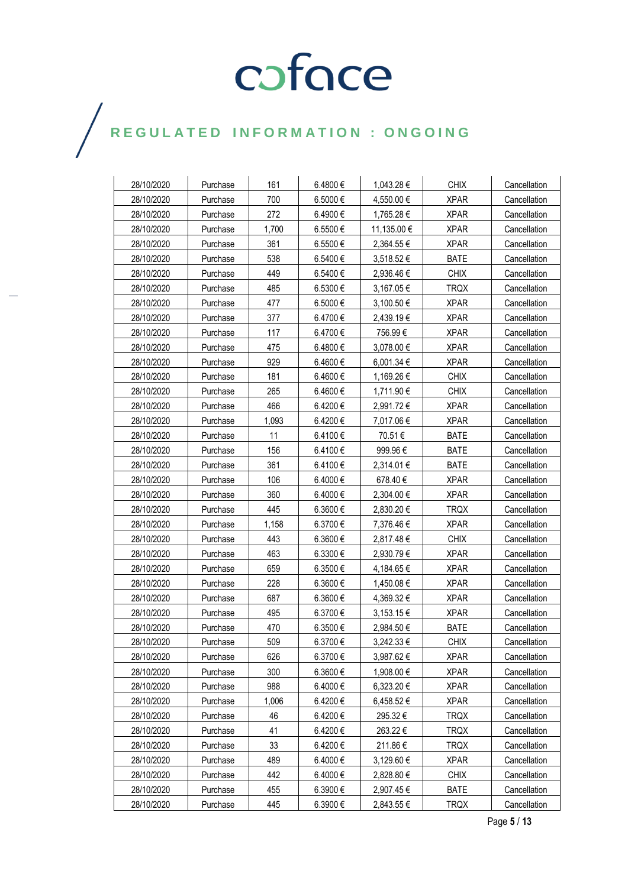| 28/10/2020 | Purchase | 161   | 6.4800€ | 1,043.28 €  | <b>CHIX</b> | Cancellation |
|------------|----------|-------|---------|-------------|-------------|--------------|
| 28/10/2020 | Purchase | 700   | 6.5000€ | 4,550.00 €  | <b>XPAR</b> | Cancellation |
| 28/10/2020 | Purchase | 272   | 6.4900€ | 1,765.28 €  | <b>XPAR</b> | Cancellation |
| 28/10/2020 | Purchase | 1,700 | 6.5500€ | 11,135.00 € | <b>XPAR</b> | Cancellation |
| 28/10/2020 | Purchase | 361   | 6.5500€ | 2,364.55 €  | <b>XPAR</b> | Cancellation |
| 28/10/2020 | Purchase | 538   | 6.5400€ | 3,518.52 €  | <b>BATE</b> | Cancellation |
| 28/10/2020 | Purchase | 449   | 6.5400€ | 2,936.46€   | <b>CHIX</b> | Cancellation |
| 28/10/2020 | Purchase | 485   | 6.5300€ | 3,167.05€   | TRQX        | Cancellation |
| 28/10/2020 | Purchase | 477   | 6.5000€ | 3,100.50 €  | <b>XPAR</b> | Cancellation |
| 28/10/2020 | Purchase | 377   | 6.4700€ | 2,439.19€   | <b>XPAR</b> | Cancellation |
| 28/10/2020 | Purchase | 117   | 6.4700€ | 756.99€     | <b>XPAR</b> | Cancellation |
| 28/10/2020 | Purchase | 475   | 6.4800€ | 3,078.00 €  | <b>XPAR</b> | Cancellation |
| 28/10/2020 | Purchase | 929   | 6.4600€ | 6,001.34 €  | <b>XPAR</b> | Cancellation |
| 28/10/2020 | Purchase | 181   | 6.4600€ | 1,169.26 €  | <b>CHIX</b> | Cancellation |
| 28/10/2020 | Purchase | 265   | 6.4600€ | 1,711.90 €  | <b>CHIX</b> | Cancellation |
| 28/10/2020 | Purchase | 466   | 6.4200€ | 2,991.72€   | <b>XPAR</b> | Cancellation |
| 28/10/2020 | Purchase | 1,093 | 6.4200€ | 7,017.06 €  | <b>XPAR</b> | Cancellation |
| 28/10/2020 | Purchase | 11    | 6.4100€ | 70.51€      | <b>BATE</b> | Cancellation |
| 28/10/2020 | Purchase | 156   | 6.4100€ | 999.96€     | <b>BATE</b> | Cancellation |
| 28/10/2020 | Purchase | 361   | 6.4100€ | 2,314.01 €  | <b>BATE</b> | Cancellation |
| 28/10/2020 | Purchase | 106   | 6.4000€ | 678.40€     | <b>XPAR</b> | Cancellation |
| 28/10/2020 | Purchase | 360   | 6.4000€ | 2,304.00 €  | <b>XPAR</b> | Cancellation |
| 28/10/2020 | Purchase | 445   | 6.3600€ | 2,830.20 €  | <b>TRQX</b> | Cancellation |
| 28/10/2020 | Purchase | 1,158 | 6.3700€ | 7,376.46 €  | <b>XPAR</b> | Cancellation |
| 28/10/2020 | Purchase | 443   | 6.3600€ | 2,817.48 €  | <b>CHIX</b> | Cancellation |
| 28/10/2020 | Purchase | 463   | 6.3300€ | 2,930.79€   | <b>XPAR</b> | Cancellation |
| 28/10/2020 | Purchase | 659   | 6.3500€ | 4,184.65 €  | <b>XPAR</b> | Cancellation |
| 28/10/2020 | Purchase | 228   | 6.3600€ | 1,450.08 €  | <b>XPAR</b> | Cancellation |
| 28/10/2020 | Purchase | 687   | 6.3600€ | 4,369.32 €  | <b>XPAR</b> | Cancellation |
| 28/10/2020 | Purchase | 495   | 6.3700€ | 3,153.15 €  | <b>XPAR</b> | Cancellation |
| 28/10/2020 | Purchase | 470   | 6.3500€ | 2,984.50 €  | <b>BATE</b> | Cancellation |
| 28/10/2020 | Purchase | 509   | 6.3700€ | 3.242.33 €  | <b>CHIX</b> | Cancellation |
| 28/10/2020 | Purchase | 626   | 6.3700€ | 3,987.62 €  | <b>XPAR</b> | Cancellation |
| 28/10/2020 | Purchase | 300   | 6.3600€ | 1,908.00 €  | <b>XPAR</b> | Cancellation |
| 28/10/2020 | Purchase | 988   | 6.4000€ | 6,323.20 €  | <b>XPAR</b> | Cancellation |
| 28/10/2020 | Purchase | 1,006 | 6.4200€ | 6,458.52€   | <b>XPAR</b> | Cancellation |
| 28/10/2020 | Purchase | 46    | 6.4200€ | 295.32€     | <b>TRQX</b> | Cancellation |
| 28/10/2020 | Purchase | 41    | 6.4200€ | 263.22€     | TRQX        | Cancellation |
| 28/10/2020 | Purchase | 33    | 6.4200€ | 211.86€     | <b>TRQX</b> | Cancellation |
| 28/10/2020 | Purchase | 489   | 6.4000€ | 3,129.60 €  | <b>XPAR</b> | Cancellation |
| 28/10/2020 | Purchase | 442   | 6.4000€ | 2,828.80 €  | <b>CHIX</b> | Cancellation |
| 28/10/2020 | Purchase | 455   | 6.3900€ | 2,907.45 €  | <b>BATE</b> | Cancellation |
| 28/10/2020 | Purchase | 445   | 6.3900€ | 2,843.55 €  | <b>TRQX</b> | Cancellation |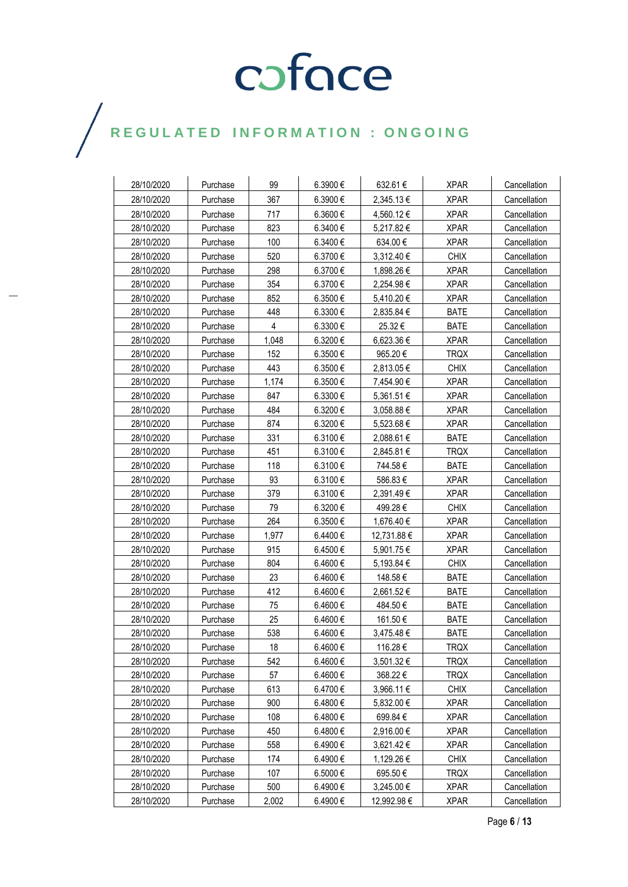| 28/10/2020 | Purchase | 99    | 6.3900€  | 632.61€     | <b>XPAR</b> | Cancellation |
|------------|----------|-------|----------|-------------|-------------|--------------|
| 28/10/2020 | Purchase | 367   | 6.3900€  | 2,345.13 €  | <b>XPAR</b> | Cancellation |
| 28/10/2020 | Purchase | 717   | 6.3600€  | 4,560.12 €  | <b>XPAR</b> | Cancellation |
| 28/10/2020 | Purchase | 823   | 6.3400€  | 5,217.82 €  | <b>XPAR</b> | Cancellation |
| 28/10/2020 | Purchase | 100   | 6.3400€  | 634.00€     | <b>XPAR</b> | Cancellation |
| 28/10/2020 | Purchase | 520   | 6.3700€  | 3,312.40 €  | <b>CHIX</b> | Cancellation |
| 28/10/2020 | Purchase | 298   | 6.3700€  | 1,898.26 €  | <b>XPAR</b> | Cancellation |
| 28/10/2020 | Purchase | 354   | 6.3700€  | 2,254.98 €  | <b>XPAR</b> | Cancellation |
| 28/10/2020 | Purchase | 852   | 6.3500€  | 5,410.20 €  | <b>XPAR</b> | Cancellation |
| 28/10/2020 | Purchase | 448   | 6.3300€  | 2,835.84 €  | <b>BATE</b> | Cancellation |
| 28/10/2020 | Purchase | 4     | 6.3300€  | 25.32€      | <b>BATE</b> | Cancellation |
| 28/10/2020 | Purchase | 1,048 | 6.3200€  | 6,623.36 €  | <b>XPAR</b> | Cancellation |
| 28/10/2020 | Purchase | 152   | 6.3500€  | 965.20€     | <b>TRQX</b> | Cancellation |
| 28/10/2020 | Purchase | 443   | 6.3500€  | 2,813.05 €  | <b>CHIX</b> | Cancellation |
| 28/10/2020 | Purchase | 1,174 | 6.3500€  | 7,454.90 €  | <b>XPAR</b> | Cancellation |
| 28/10/2020 | Purchase | 847   | 6.3300€  | 5,361.51 €  | <b>XPAR</b> | Cancellation |
| 28/10/2020 | Purchase | 484   | 6.3200€  | 3,058.88 €  | <b>XPAR</b> | Cancellation |
| 28/10/2020 | Purchase | 874   | 6.3200€  | 5,523.68 €  | <b>XPAR</b> | Cancellation |
| 28/10/2020 | Purchase | 331   | 6.3100€  | 2,088.61 €  | <b>BATE</b> | Cancellation |
| 28/10/2020 | Purchase | 451   | 6.3100€  | 2,845.81 €  | <b>TRQX</b> | Cancellation |
| 28/10/2020 | Purchase | 118   | 6.3100€  | 744.58€     | <b>BATE</b> | Cancellation |
| 28/10/2020 | Purchase | 93    | 6.3100€  | 586.83€     | <b>XPAR</b> | Cancellation |
| 28/10/2020 | Purchase | 379   | 6.3100€  | 2,391.49€   | <b>XPAR</b> | Cancellation |
| 28/10/2020 | Purchase | 79    | 6.3200€  | 499.28€     | <b>CHIX</b> | Cancellation |
| 28/10/2020 | Purchase | 264   | 6.3500€  | 1,676.40 €  | <b>XPAR</b> | Cancellation |
| 28/10/2020 | Purchase | 1,977 | 6.4400€  | 12,731.88 € | <b>XPAR</b> | Cancellation |
| 28/10/2020 | Purchase | 915   | 6.4500€  | 5,901.75 €  | <b>XPAR</b> | Cancellation |
| 28/10/2020 | Purchase | 804   | 6.4600€  | 5,193.84 €  | <b>CHIX</b> | Cancellation |
| 28/10/2020 | Purchase | 23    | 6.4600€  | 148.58€     | <b>BATE</b> | Cancellation |
| 28/10/2020 | Purchase | 412   | 6.4600€  | 2,661.52 €  | <b>BATE</b> | Cancellation |
| 28/10/2020 | Purchase | 75    | 6.4600€  | 484.50€     | BATE        | Cancellation |
| 28/10/2020 | Purchase | 25    | 6.4600€  | 161.50 €    | <b>BATE</b> | Cancellation |
| 28/10/2020 | Purchase | 538   | 6.4600€  | 3,475.48 €  | <b>BATE</b> | Cancellation |
| 28/10/2020 | Purchase | 18    | 6.4600€  | 116.28€     | <b>TRQX</b> | Cancellation |
| 28/10/2020 | Purchase | 542   | 6.4600€  | 3,501.32 €  | <b>TRQX</b> | Cancellation |
| 28/10/2020 | Purchase | 57    | 6.4600€  | 368.22€     | <b>TRQX</b> | Cancellation |
| 28/10/2020 | Purchase | 613   | 6.4700€  | 3,966.11 €  | <b>CHIX</b> | Cancellation |
| 28/10/2020 | Purchase | 900   | 6.4800€  | 5,832.00 €  | <b>XPAR</b> | Cancellation |
| 28/10/2020 | Purchase | 108   | 6.4800 € | 699.84 €    | <b>XPAR</b> | Cancellation |
| 28/10/2020 | Purchase | 450   | 6.4800€  | 2,916.00 €  | <b>XPAR</b> | Cancellation |
| 28/10/2020 | Purchase | 558   | 6.4900€  | 3,621.42 €  | <b>XPAR</b> | Cancellation |
| 28/10/2020 | Purchase | 174   | 6.4900€  | 1,129.26 €  | <b>CHIX</b> | Cancellation |
| 28/10/2020 | Purchase | 107   | 6.5000€  | 695.50€     | <b>TRQX</b> | Cancellation |
| 28/10/2020 | Purchase | 500   | 6.4900€  | 3,245.00 €  | <b>XPAR</b> | Cancellation |
| 28/10/2020 | Purchase | 2,002 | 6.4900€  | 12,992.98 € | <b>XPAR</b> | Cancellation |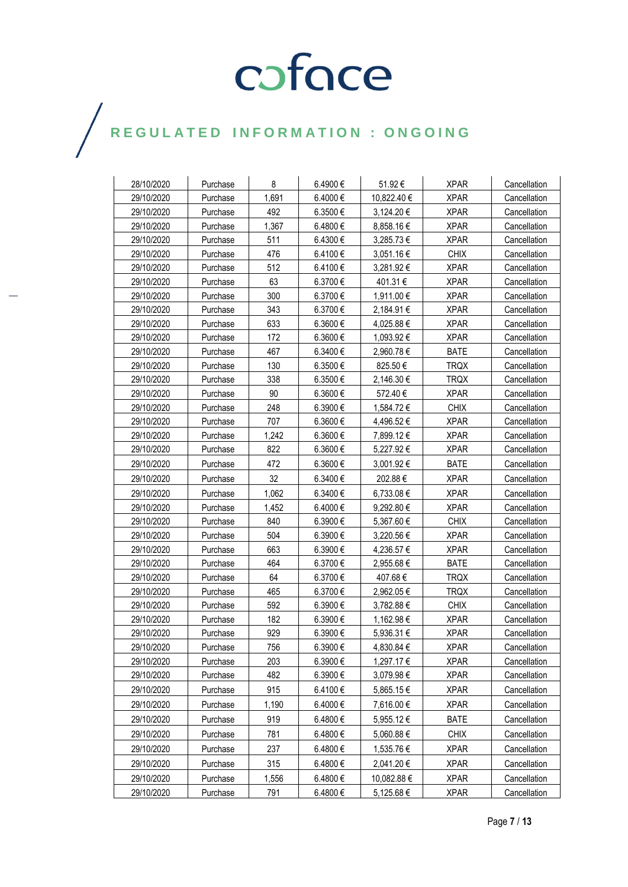| 28/10/2020 | Purchase | 8     | 6.4900€      | 51.92€      | <b>XPAR</b> | Cancellation |
|------------|----------|-------|--------------|-------------|-------------|--------------|
| 29/10/2020 | Purchase | 1,691 | 6.4000€      | 10,822.40 € | <b>XPAR</b> | Cancellation |
| 29/10/2020 | Purchase | 492   | 6.3500€      | 3,124.20 €  | <b>XPAR</b> | Cancellation |
| 29/10/2020 | Purchase | 1,367 | 6.4800€      | 8,858.16 €  | <b>XPAR</b> | Cancellation |
| 29/10/2020 | Purchase | 511   | 6.4300€      | 3,285.73 €  | <b>XPAR</b> | Cancellation |
| 29/10/2020 | Purchase | 476   | 6.4100€      | 3,051.16 €  | <b>CHIX</b> | Cancellation |
| 29/10/2020 | Purchase | 512   | 6.4100€      | 3,281.92 €  | <b>XPAR</b> | Cancellation |
| 29/10/2020 | Purchase | 63    | 6.3700€      | 401.31 €    | <b>XPAR</b> | Cancellation |
| 29/10/2020 | Purchase | 300   | 6.3700€      | 1,911.00 €  | <b>XPAR</b> | Cancellation |
| 29/10/2020 | Purchase | 343   | 6.3700€      | 2,184.91€   | <b>XPAR</b> | Cancellation |
| 29/10/2020 | Purchase | 633   | 6.3600€      | 4,025.88 €  | <b>XPAR</b> | Cancellation |
| 29/10/2020 | Purchase | 172   | 6.3600€      | 1,093.92 €  | <b>XPAR</b> | Cancellation |
| 29/10/2020 | Purchase | 467   | 6.3400€      | 2,960.78 €  | <b>BATE</b> | Cancellation |
| 29/10/2020 | Purchase | 130   | 6.3500 €     | 825.50€     | <b>TRQX</b> | Cancellation |
| 29/10/2020 | Purchase | 338   | 6.3500 $\in$ | 2,146.30 €  | <b>TRQX</b> | Cancellation |
| 29/10/2020 | Purchase | 90    | 6.3600€      | 572.40€     | <b>XPAR</b> | Cancellation |
| 29/10/2020 | Purchase | 248   | 6.3900€      | 1,584.72 €  | <b>CHIX</b> | Cancellation |
| 29/10/2020 | Purchase | 707   | 6.3600€      | 4,496.52 €  | <b>XPAR</b> | Cancellation |
| 29/10/2020 | Purchase | 1,242 | 6.3600 €     | 7,899.12 €  | <b>XPAR</b> | Cancellation |
| 29/10/2020 | Purchase | 822   | 6.3600 €     | 5,227.92 €  | <b>XPAR</b> | Cancellation |
| 29/10/2020 | Purchase | 472   | 6.3600 €     | 3,001.92 €  | <b>BATE</b> | Cancellation |
| 29/10/2020 | Purchase | 32    | 6.3400€      | 202.88€     | <b>XPAR</b> | Cancellation |
| 29/10/2020 | Purchase | 1.062 | 6.3400€      | 6,733.08 €  | <b>XPAR</b> | Cancellation |
| 29/10/2020 | Purchase | 1,452 | 6.4000€      | 9,292.80 €  | <b>XPAR</b> | Cancellation |
| 29/10/2020 | Purchase | 840   | 6.3900€      | 5,367.60 €  | <b>CHIX</b> | Cancellation |
| 29/10/2020 | Purchase | 504   | 6.3900€      | 3,220.56 €  | <b>XPAR</b> | Cancellation |
| 29/10/2020 | Purchase | 663   | 6.3900€      | 4,236.57 €  | <b>XPAR</b> | Cancellation |
| 29/10/2020 | Purchase | 464   | 6.3700€      | 2,955.68 €  | <b>BATE</b> | Cancellation |
| 29/10/2020 | Purchase | 64    | 6.3700€      | 407.68€     | <b>TRQX</b> | Cancellation |
| 29/10/2020 | Purchase | 465   | 6.3700€      | 2,962.05 €  | <b>TRQX</b> | Cancellation |
| 29/10/2020 | Purchase | 592   | 6.3900€      | 3,782.88 €  | <b>CHIX</b> | Cancellation |
| 29/10/2020 | Purchase | 182   | 6.3900€      | 1,162.98 €  | <b>XPAR</b> | Cancellation |
| 29/10/2020 | Purchase | 929   | 6.3900€      | 5,936.31€   | <b>XPAR</b> | Cancellation |
| 29/10/2020 | Purchase | 756   | 6.3900€      | 4,830.84 €  | <b>XPAR</b> | Cancellation |
| 29/10/2020 | Purchase | 203   | 6.3900€      | 1,297.17 €  | <b>XPAR</b> | Cancellation |
| 29/10/2020 | Purchase | 482   | 6.3900€      | 3,079.98 €  | <b>XPAR</b> | Cancellation |
| 29/10/2020 | Purchase | 915   | 6.4100€      | 5,865.15 €  | <b>XPAR</b> | Cancellation |
| 29/10/2020 | Purchase | 1,190 | 6.4000€      | 7,616.00 €  | <b>XPAR</b> | Cancellation |
| 29/10/2020 | Purchase | 919   | 6.4800€      | 5,955.12€   | <b>BATE</b> | Cancellation |
| 29/10/2020 | Purchase | 781   | 6.4800€      | 5,060.88 €  | <b>CHIX</b> | Cancellation |
| 29/10/2020 | Purchase | 237   | 6.4800€      | 1,535.76 €  | <b>XPAR</b> | Cancellation |
| 29/10/2020 | Purchase | 315   | 6.4800€      | 2,041.20 €  | <b>XPAR</b> | Cancellation |
| 29/10/2020 | Purchase | 1,556 | 6.4800€      | 10,082.88 € | <b>XPAR</b> | Cancellation |
| 29/10/2020 | Purchase | 791   | 6.4800€      | 5,125.68 €  | <b>XPAR</b> | Cancellation |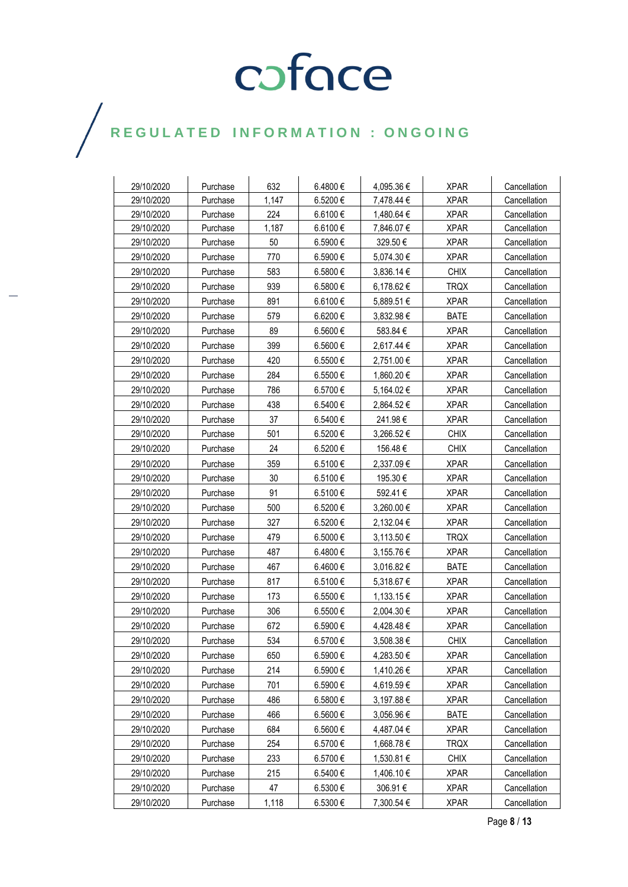| 29/10/2020 | Purchase | 632   | 6.4800€ | 4,095.36 € | <b>XPAR</b> | Cancellation |
|------------|----------|-------|---------|------------|-------------|--------------|
| 29/10/2020 | Purchase | 1,147 | 6.5200€ | 7,478.44 € | <b>XPAR</b> | Cancellation |
| 29/10/2020 | Purchase | 224   | 6.6100€ | 1,480.64 € | <b>XPAR</b> | Cancellation |
| 29/10/2020 | Purchase | 1,187 | 6.6100€ | 7,846.07 € | <b>XPAR</b> | Cancellation |
| 29/10/2020 | Purchase | 50    | 6.5900€ | 329.50€    | <b>XPAR</b> | Cancellation |
| 29/10/2020 | Purchase | 770   | 6.5900€ | 5,074.30 € | <b>XPAR</b> | Cancellation |
| 29/10/2020 | Purchase | 583   | 6.5800€ | 3,836.14 € | <b>CHIX</b> | Cancellation |
| 29/10/2020 | Purchase | 939   | 6.5800€ | 6,178.62€  | <b>TRQX</b> | Cancellation |
| 29/10/2020 | Purchase | 891   | 6.6100€ | 5,889.51 € | <b>XPAR</b> | Cancellation |
| 29/10/2020 | Purchase | 579   | 6.6200€ | 3,832.98 € | <b>BATE</b> | Cancellation |
| 29/10/2020 | Purchase | 89    | 6.5600€ | 583.84€    | <b>XPAR</b> | Cancellation |
| 29/10/2020 | Purchase | 399   | 6.5600€ | 2,617.44 € | <b>XPAR</b> | Cancellation |
| 29/10/2020 | Purchase | 420   | 6.5500€ | 2,751.00 € | <b>XPAR</b> | Cancellation |
| 29/10/2020 | Purchase | 284   | 6.5500€ | 1,860.20 € | <b>XPAR</b> | Cancellation |
| 29/10/2020 | Purchase | 786   | 6.5700€ | 5,164.02€  | <b>XPAR</b> | Cancellation |
| 29/10/2020 | Purchase | 438   | 6.5400€ | 2,864.52€  | <b>XPAR</b> | Cancellation |
| 29/10/2020 | Purchase | 37    | 6.5400€ | 241.98€    | <b>XPAR</b> | Cancellation |
| 29/10/2020 | Purchase | 501   | 6.5200€ | 3,266.52€  | <b>CHIX</b> | Cancellation |
| 29/10/2020 | Purchase | 24    | 6.5200€ | 156.48€    | <b>CHIX</b> | Cancellation |
|            |          |       | 6.5100€ |            |             |              |
| 29/10/2020 | Purchase | 359   |         | 2,337.09 € | <b>XPAR</b> | Cancellation |
| 29/10/2020 | Purchase | 30    | 6.5100€ | 195.30€    | <b>XPAR</b> | Cancellation |
| 29/10/2020 | Purchase | 91    | 6.5100€ | 592.41€    | <b>XPAR</b> | Cancellation |
| 29/10/2020 | Purchase | 500   | 6.5200€ | 3,260.00 € | <b>XPAR</b> | Cancellation |
| 29/10/2020 | Purchase | 327   | 6.5200€ | 2,132.04 € | <b>XPAR</b> | Cancellation |
| 29/10/2020 | Purchase | 479   | 6.5000€ | 3,113.50 € | <b>TRQX</b> | Cancellation |
| 29/10/2020 | Purchase | 487   | 6.4800€ | 3,155.76 € | <b>XPAR</b> | Cancellation |
| 29/10/2020 | Purchase | 467   | 6.4600€ | 3,016.82 € | <b>BATE</b> | Cancellation |
| 29/10/2020 | Purchase | 817   | 6.5100€ | 5,318.67 € | <b>XPAR</b> | Cancellation |
| 29/10/2020 | Purchase | 173   | 6.5500€ | 1,133.15 € | <b>XPAR</b> | Cancellation |
| 29/10/2020 | Purchase | 306   | 6.5500€ | 2,004.30 € | <b>XPAR</b> | Cancellation |
| 29/10/2020 | Purchase | 672   | 6.5900€ | 4,428.48€  | <b>XPAR</b> | Cancellation |
| 29/10/2020 | Purchase | 534   | 6.5700€ | 3,508.38 € | <b>CHIX</b> | Cancellation |
| 29/10/2020 | Purchase | 650   | 6.5900€ | 4,283.50 € | <b>XPAR</b> | Cancellation |
| 29/10/2020 | Purchase | 214   | 6.5900€ | 1,410.26 € | <b>XPAR</b> | Cancellation |
| 29/10/2020 | Purchase | 701   | 6.5900€ | 4,619.59€  | <b>XPAR</b> | Cancellation |
| 29/10/2020 | Purchase | 486   | 6.5800€ | 3,197.88 € | <b>XPAR</b> | Cancellation |
| 29/10/2020 | Purchase | 466   | 6.5600€ | 3,056.96 € | <b>BATE</b> | Cancellation |
| 29/10/2020 | Purchase | 684   | 6.5600€ | 4,487.04 € | <b>XPAR</b> | Cancellation |
| 29/10/2020 | Purchase | 254   | 6.5700€ | 1,668.78€  | <b>TRQX</b> | Cancellation |
| 29/10/2020 | Purchase | 233   | 6.5700€ | 1,530.81 € | <b>CHIX</b> | Cancellation |
| 29/10/2020 | Purchase | 215   | 6.5400€ | 1,406.10 € | <b>XPAR</b> | Cancellation |
| 29/10/2020 | Purchase | 47    | 6.5300€ | 306.91€    | <b>XPAR</b> | Cancellation |
| 29/10/2020 | Purchase | 1,118 | 6.5300€ | 7,300.54 € | <b>XPAR</b> | Cancellation |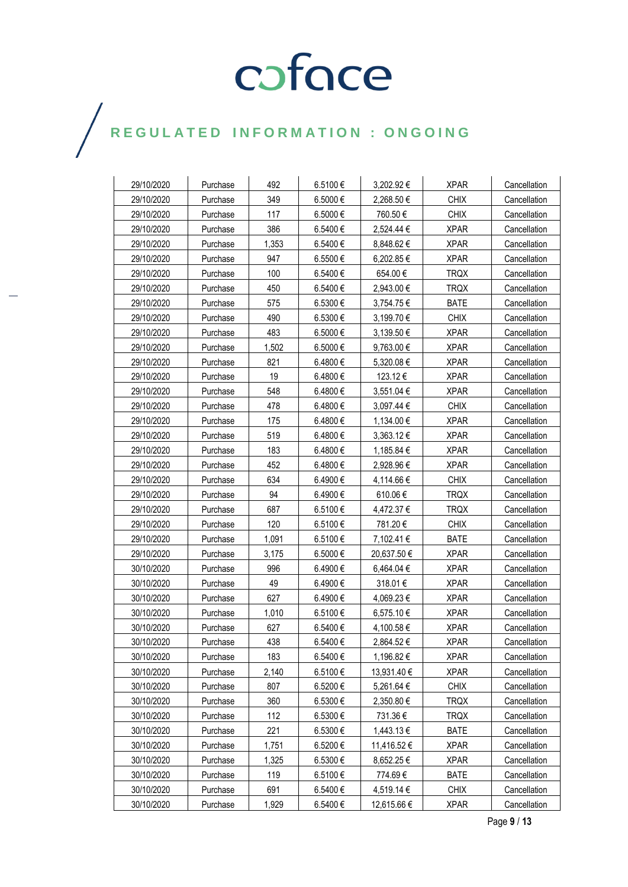| 29/10/2020 | Purchase | 492   | 6.5100€ | 3,202.92€      | <b>XPAR</b> | Cancellation |
|------------|----------|-------|---------|----------------|-------------|--------------|
| 29/10/2020 | Purchase | 349   | 6.5000€ | 2,268.50 €     | <b>CHIX</b> | Cancellation |
| 29/10/2020 | Purchase | 117   | 6.5000€ | 760.50€        | <b>CHIX</b> | Cancellation |
| 29/10/2020 | Purchase | 386   | 6.5400€ | 2,524.44 €     | <b>XPAR</b> | Cancellation |
| 29/10/2020 | Purchase | 1,353 | 6.5400€ | 8,848.62 €     | <b>XPAR</b> | Cancellation |
| 29/10/2020 | Purchase | 947   | 6.5500€ | 6,202.85 €     | <b>XPAR</b> | Cancellation |
| 29/10/2020 | Purchase | 100   | 6.5400€ | 654.00€        | <b>TRQX</b> | Cancellation |
| 29/10/2020 | Purchase | 450   | 6.5400€ | 2,943.00 €     | TRQX        | Cancellation |
| 29/10/2020 | Purchase | 575   | 6.5300€ | 3,754.75 €     | <b>BATE</b> | Cancellation |
| 29/10/2020 | Purchase | 490   | 6.5300€ | 3,199.70 €     | <b>CHIX</b> | Cancellation |
| 29/10/2020 | Purchase | 483   | 6.5000€ | 3,139.50 €     | <b>XPAR</b> | Cancellation |
| 29/10/2020 | Purchase | 1,502 | 6.5000€ | $9,763.00 \in$ | <b>XPAR</b> | Cancellation |
| 29/10/2020 | Purchase | 821   | 6.4800€ | 5,320.08 €     | <b>XPAR</b> | Cancellation |
| 29/10/2020 | Purchase | 19    | 6.4800€ | 123.12€        | <b>XPAR</b> | Cancellation |
| 29/10/2020 | Purchase | 548   | 6.4800€ | 3,551.04 €     | <b>XPAR</b> | Cancellation |
| 29/10/2020 | Purchase | 478   | 6.4800€ | 3,097.44 €     | <b>CHIX</b> | Cancellation |
| 29/10/2020 | Purchase | 175   | 6.4800€ | 1,134.00 €     | <b>XPAR</b> | Cancellation |
| 29/10/2020 | Purchase | 519   | 6.4800€ | $3,363.12 \in$ | <b>XPAR</b> | Cancellation |
| 29/10/2020 | Purchase | 183   | 6.4800€ | 1,185.84 €     | <b>XPAR</b> | Cancellation |
| 29/10/2020 | Purchase | 452   | 6.4800€ | 2,928.96 €     | <b>XPAR</b> | Cancellation |
| 29/10/2020 | Purchase | 634   | 6.4900€ | 4,114.66 €     | <b>CHIX</b> | Cancellation |
| 29/10/2020 | Purchase | 94    | 6.4900€ | 610.06€        | <b>TRQX</b> | Cancellation |
| 29/10/2020 | Purchase | 687   | 6.5100€ | 4,472.37 €     | <b>TRQX</b> | Cancellation |
| 29/10/2020 | Purchase | 120   | 6.5100€ | 781.20€        | <b>CHIX</b> | Cancellation |
| 29/10/2020 | Purchase | 1,091 | 6.5100€ | 7,102.41 €     | <b>BATE</b> | Cancellation |
| 29/10/2020 | Purchase | 3,175 | 6.5000€ | 20,637.50€     | <b>XPAR</b> | Cancellation |
| 30/10/2020 | Purchase | 996   | 6.4900€ | 6,464.04 €     | <b>XPAR</b> | Cancellation |
| 30/10/2020 | Purchase | 49    | 6.4900€ | 318.01€        | <b>XPAR</b> | Cancellation |
| 30/10/2020 | Purchase | 627   | 6.4900€ | 4,069.23€      | <b>XPAR</b> | Cancellation |
| 30/10/2020 | Purchase | 1,010 | 6.5100€ | 6,575.10 €     | <b>XPAR</b> | Cancellation |
| 30/10/2020 | Purchase | 627   | 6.5400€ | 4,100.58 €     | <b>XPAR</b> | Cancellation |
| 30/10/2020 | Purchase | 438   | 6.5400€ | 2.864.52 €     | <b>XPAR</b> | Cancellation |
| 30/10/2020 | Purchase | 183   | 6.5400€ | 1,196.82 €     | <b>XPAR</b> | Cancellation |
| 30/10/2020 | Purchase | 2,140 | 6.5100€ | 13,931.40 €    | <b>XPAR</b> | Cancellation |
| 30/10/2020 | Purchase | 807   | 6.5200€ | 5,261.64 €     | <b>CHIX</b> | Cancellation |
| 30/10/2020 | Purchase | 360   | 6.5300€ | 2,350.80 €     | <b>TRQX</b> | Cancellation |
| 30/10/2020 | Purchase | 112   | 6.5300€ | 731.36€        | <b>TRQX</b> | Cancellation |
| 30/10/2020 | Purchase | 221   | 6.5300€ | 1,443.13 €     | <b>BATE</b> | Cancellation |
| 30/10/2020 | Purchase | 1,751 | 6.5200€ | 11,416.52 €    | <b>XPAR</b> | Cancellation |
| 30/10/2020 | Purchase | 1,325 | 6.5300€ | 8,652.25€      | <b>XPAR</b> | Cancellation |
| 30/10/2020 | Purchase | 119   | 6.5100€ | 774.69€        | <b>BATE</b> | Cancellation |
| 30/10/2020 | Purchase | 691   | 6.5400€ | 4,519.14 €     | <b>CHIX</b> | Cancellation |
| 30/10/2020 | Purchase | 1,929 | 6.5400€ | 12,615.66 €    | <b>XPAR</b> | Cancellation |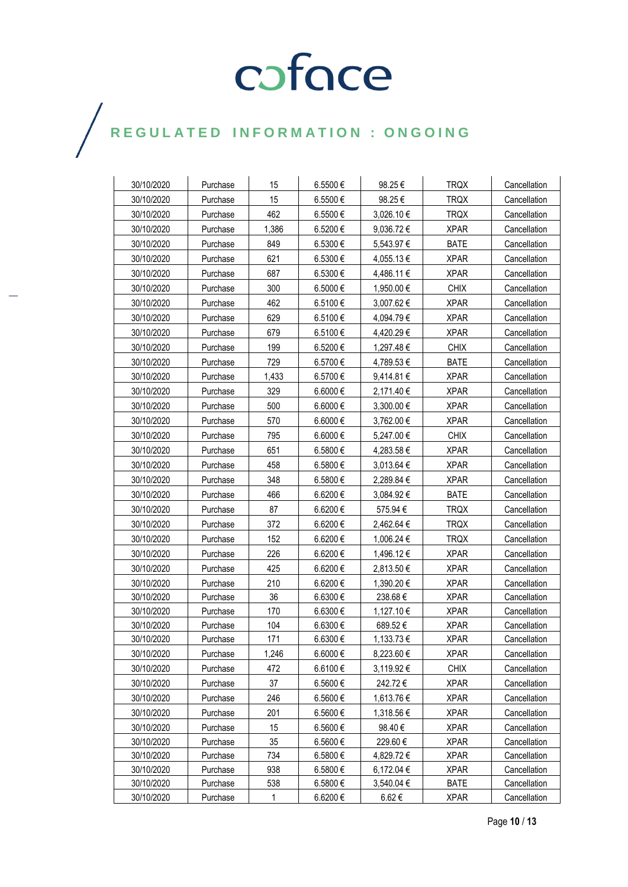| 30/10/2020 | Purchase | 15    | 6.5500€      | 98.25€     | <b>TRQX</b> | Cancellation |
|------------|----------|-------|--------------|------------|-------------|--------------|
| 30/10/2020 | Purchase | 15    | 6.5500€      | 98.25€     | <b>TRQX</b> | Cancellation |
| 30/10/2020 | Purchase | 462   | 6.5500€      | 3,026.10 € | <b>TRQX</b> | Cancellation |
| 30/10/2020 | Purchase | 1,386 | 6.5200€      | 9,036.72€  | <b>XPAR</b> | Cancellation |
| 30/10/2020 | Purchase | 849   | 6.5300€      | 5,543.97 € | <b>BATE</b> | Cancellation |
| 30/10/2020 | Purchase | 621   | 6.5300€      | 4,055.13 € | <b>XPAR</b> | Cancellation |
| 30/10/2020 | Purchase | 687   | 6.5300€      | 4,486.11 € | <b>XPAR</b> | Cancellation |
| 30/10/2020 | Purchase | 300   | 6.5000€      | 1,950.00 € | <b>CHIX</b> | Cancellation |
| 30/10/2020 | Purchase | 462   | 6.5100€      | 3,007.62 € | <b>XPAR</b> | Cancellation |
| 30/10/2020 | Purchase | 629   | 6.5100€      | 4,094.79 € | <b>XPAR</b> | Cancellation |
| 30/10/2020 | Purchase | 679   | 6.5100€      | 4,420.29 € | <b>XPAR</b> | Cancellation |
| 30/10/2020 | Purchase | 199   | 6.5200€      | 1,297.48 € | <b>CHIX</b> | Cancellation |
| 30/10/2020 | Purchase | 729   | 6.5700€      | 4,789.53 € | <b>BATE</b> | Cancellation |
| 30/10/2020 | Purchase | 1,433 | 6.5700€      | 9,414.81 € | <b>XPAR</b> | Cancellation |
| 30/10/2020 | Purchase | 329   | 6.6000 €     | 2,171.40 € | <b>XPAR</b> | Cancellation |
| 30/10/2020 | Purchase | 500   | 6.6000€      | 3,300.00 € | <b>XPAR</b> | Cancellation |
| 30/10/2020 | Purchase | 570   | 6.6000 $\in$ | 3,762.00 € | <b>XPAR</b> | Cancellation |
| 30/10/2020 | Purchase | 795   | 6.6000 €     | 5,247.00 € | <b>CHIX</b> | Cancellation |
| 30/10/2020 | Purchase | 651   | 6.5800€      | 4,283.58 € | <b>XPAR</b> | Cancellation |
| 30/10/2020 | Purchase | 458   | 6.5800€      | 3,013.64 € | <b>XPAR</b> | Cancellation |
| 30/10/2020 | Purchase | 348   | 6.5800€      | 2,289.84 € | <b>XPAR</b> | Cancellation |
| 30/10/2020 | Purchase | 466   | 6.6200€      | 3,084.92€  | <b>BATE</b> | Cancellation |
| 30/10/2020 | Purchase | 87    | 6.6200€      | 575.94 €   | <b>TRQX</b> | Cancellation |
| 30/10/2020 | Purchase | 372   | 6.6200 €     | 2,462.64 € | <b>TRQX</b> | Cancellation |
| 30/10/2020 | Purchase | 152   | 6.6200€      | 1,006.24 € | <b>TRQX</b> | Cancellation |
| 30/10/2020 | Purchase | 226   | 6.6200€      | 1,496.12 € | <b>XPAR</b> | Cancellation |
| 30/10/2020 | Purchase | 425   | 6.6200 €     | 2,813.50 € | <b>XPAR</b> | Cancellation |
| 30/10/2020 | Purchase | 210   | 6.6200€      | 1,390.20 € | <b>XPAR</b> | Cancellation |
| 30/10/2020 | Purchase | 36    | 6.6300€      | 238.68€    | <b>XPAR</b> | Cancellation |
| 30/10/2020 | Purchase | 170   | 6.6300€      | 1,127.10 € | <b>XPAR</b> | Cancellation |
| 30/10/2020 | Purchase | 104   | 6.6300€      | 689.52€    | <b>XPAR</b> | Cancellation |
| 30/10/2020 | Purchase | 171   | 6.6300€      | 1.133.73 € | <b>XPAR</b> | Cancellation |
| 30/10/2020 | Purchase | 1,246 | 6.6000€      | 8,223.60 € | <b>XPAR</b> | Cancellation |
| 30/10/2020 | Purchase | 472   | 6.6100€      | 3,119.92€  | <b>CHIX</b> | Cancellation |
| 30/10/2020 | Purchase | 37    | 6.5600€      | 242.72€    | <b>XPAR</b> | Cancellation |
| 30/10/2020 | Purchase | 246   | 6.5600€      | 1,613.76 € | <b>XPAR</b> | Cancellation |
| 30/10/2020 | Purchase | 201   | 6.5600€      | 1,318.56 € | <b>XPAR</b> | Cancellation |
| 30/10/2020 | Purchase | 15    | 6.5600€      | 98.40€     | <b>XPAR</b> | Cancellation |
| 30/10/2020 | Purchase | 35    | 6.5600€      | 229.60€    | <b>XPAR</b> | Cancellation |
| 30/10/2020 | Purchase | 734   | 6.5800€      | 4,829.72 € | <b>XPAR</b> | Cancellation |
| 30/10/2020 | Purchase | 938   | 6.5800€      | 6,172.04 € | <b>XPAR</b> | Cancellation |
| 30/10/2020 | Purchase | 538   | 6.5800€      | 3,540.04 € | <b>BATE</b> | Cancellation |
| 30/10/2020 | Purchase | 1     | 6.6200€      | 6.62€      | <b>XPAR</b> | Cancellation |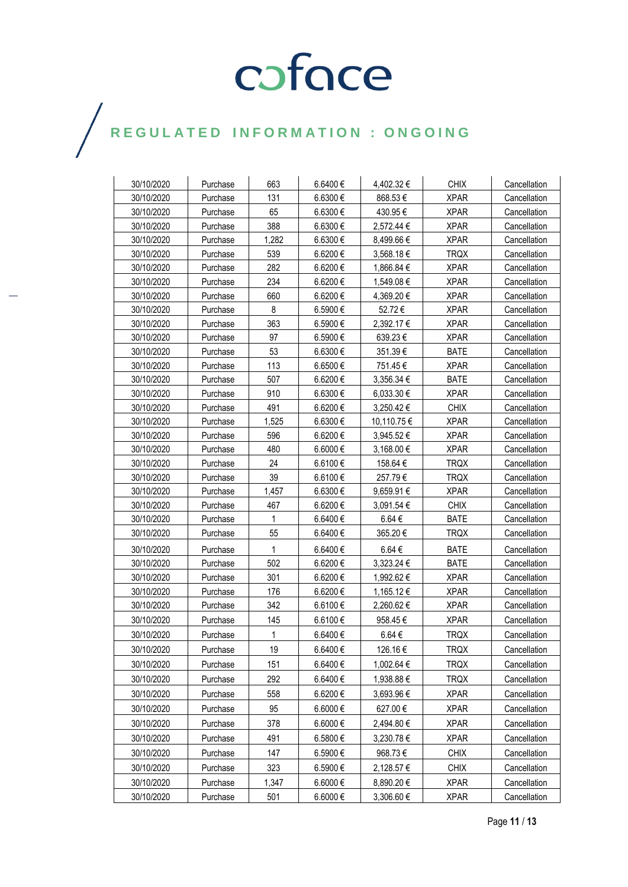| 30/10/2020 | Purchase | 663   | 6.6400 €     | 4,402.32 €     | <b>CHIX</b> | Cancellation |
|------------|----------|-------|--------------|----------------|-------------|--------------|
| 30/10/2020 | Purchase | 131   | 6.6300 €     | 868.53€        | <b>XPAR</b> | Cancellation |
| 30/10/2020 | Purchase | 65    | 6.6300€      | 430.95€        | <b>XPAR</b> | Cancellation |
| 30/10/2020 | Purchase | 388   | 6.6300€      | 2,572.44 €     | <b>XPAR</b> | Cancellation |
| 30/10/2020 | Purchase | 1,282 | 6.6300 €     | 8,499.66 €     | <b>XPAR</b> | Cancellation |
| 30/10/2020 | Purchase | 539   | 6.6200 €     | 3,568.18€      | <b>TRQX</b> | Cancellation |
| 30/10/2020 | Purchase | 282   | 6.6200 €     | 1,866.84 €     | <b>XPAR</b> | Cancellation |
| 30/10/2020 | Purchase | 234   | $6.6200 \in$ | 1,549.08 €     | <b>XPAR</b> | Cancellation |
| 30/10/2020 | Purchase | 660   | 6.6200 €     | 4,369.20 €     | <b>XPAR</b> | Cancellation |
| 30/10/2020 | Purchase | 8     | 6.5900€      | 52.72€         | <b>XPAR</b> | Cancellation |
| 30/10/2020 | Purchase | 363   | 6.5900€      | 2,392.17 €     | <b>XPAR</b> | Cancellation |
| 30/10/2020 | Purchase | 97    | 6.5900€      | 639.23€        | <b>XPAR</b> | Cancellation |
| 30/10/2020 | Purchase | 53    | 6.6300€      | 351.39€        | <b>BATE</b> | Cancellation |
| 30/10/2020 | Purchase | 113   | 6.6500 €     | 751.45€        | <b>XPAR</b> | Cancellation |
| 30/10/2020 | Purchase | 507   | 6.6200 €     | $3,356.34 \in$ | <b>BATE</b> | Cancellation |
| 30/10/2020 | Purchase | 910   | 6.6300€      | 6,033.30 €     | <b>XPAR</b> | Cancellation |
| 30/10/2020 | Purchase | 491   | 6.6200 €     | 3,250.42 €     | <b>CHIX</b> | Cancellation |
| 30/10/2020 | Purchase | 1.525 | 6.6300€      | 10,110.75 €    | <b>XPAR</b> | Cancellation |
| 30/10/2020 | Purchase | 596   | 6.6200 €     | 3,945.52 €     | <b>XPAR</b> | Cancellation |
| 30/10/2020 | Purchase | 480   | 6.6000 €     | 3,168.00 €     | <b>XPAR</b> | Cancellation |
| 30/10/2020 | Purchase | 24    | 6.6100 €     | 158.64 €       | <b>TRQX</b> | Cancellation |
| 30/10/2020 | Purchase | 39    | 6.6100€      | 257.79€        | <b>TRQX</b> | Cancellation |
| 30/10/2020 | Purchase | 1,457 | 6.6300€      | 9,659.91 €     | <b>XPAR</b> | Cancellation |
| 30/10/2020 | Purchase | 467   | 6.6200€      | 3,091.54 €     | <b>CHIX</b> | Cancellation |
| 30/10/2020 | Purchase | 1     | 6.6400 €     | $6.64 \in$     | <b>BATE</b> | Cancellation |
| 30/10/2020 | Purchase | 55    | 6.6400 €     | 365.20€        | <b>TRQX</b> | Cancellation |
| 30/10/2020 | Purchase | 1     | 6.6400€      | $6.64 \in$     | <b>BATE</b> | Cancellation |
| 30/10/2020 | Purchase | 502   | 6.6200€      | 3,323.24 €     | <b>BATE</b> | Cancellation |
| 30/10/2020 | Purchase | 301   | $6.6200 \in$ | 1,992.62 €     | <b>XPAR</b> | Cancellation |
| 30/10/2020 | Purchase | 176   | 6.6200€      | 1,165.12 €     | <b>XPAR</b> | Cancellation |
| 30/10/2020 | Purchase | 342   | 6.6100€      | 2,260.62 €     | <b>XPAR</b> | Cancellation |
| 30/10/2020 | Purchase | 145   | 6.6100€      | 958.45€        | <b>XPAR</b> | Cancellation |
| 30/10/2020 | Purchase | 1     | 6.6400 €     | $6.64 \in$     | <b>TRQX</b> | Cancellation |
| 30/10/2020 | Purchase | 19    | 6.6400€      | 126.16€        | <b>TRQX</b> | Cancellation |
| 30/10/2020 | Purchase | 151   | 6.6400€      | 1,002.64 €     | <b>TRQX</b> | Cancellation |
| 30/10/2020 | Purchase | 292   | 6.6400€      | 1,938.88 €     | <b>TRQX</b> | Cancellation |
| 30/10/2020 | Purchase | 558   | 6.6200€      | 3,693.96 €     | <b>XPAR</b> | Cancellation |
| 30/10/2020 | Purchase | 95    | 6.6000€      | 627.00€        | <b>XPAR</b> | Cancellation |
| 30/10/2020 | Purchase | 378   | 6.6000€      | 2,494.80 €     | <b>XPAR</b> | Cancellation |
| 30/10/2020 | Purchase | 491   | 6.5800€      | 3,230.78 €     | <b>XPAR</b> | Cancellation |
| 30/10/2020 | Purchase | 147   | 6.5900€      | 968.73€        | <b>CHIX</b> | Cancellation |
| 30/10/2020 | Purchase | 323   | 6.5900€      | 2,128.57 €     | <b>CHIX</b> | Cancellation |
| 30/10/2020 | Purchase | 1,347 | 6.6000€      | 8,890.20 €     | <b>XPAR</b> | Cancellation |
| 30/10/2020 | Purchase | 501   | 6.6000€      | 3,306.60 €     | <b>XPAR</b> | Cancellation |
|            |          |       |              |                |             |              |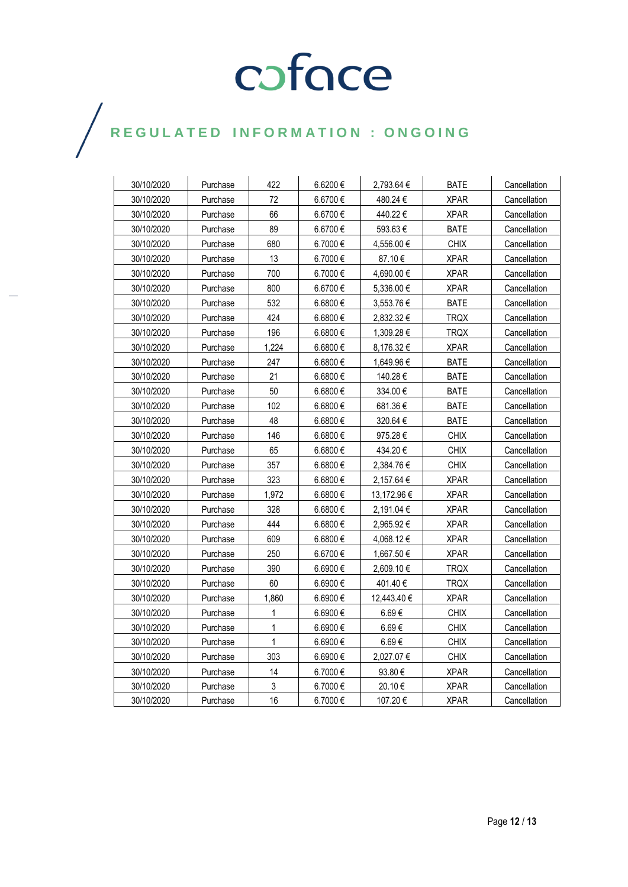| 30/10/2020 | Purchase | 422          | 6.6200€  | 2,793.64 €  | <b>BATE</b> | Cancellation |
|------------|----------|--------------|----------|-------------|-------------|--------------|
| 30/10/2020 | Purchase | 72           | 6.6700€  | 480.24 €    | <b>XPAR</b> | Cancellation |
| 30/10/2020 | Purchase | 66           | 6.6700€  | 440.22€     | <b>XPAR</b> | Cancellation |
| 30/10/2020 | Purchase | 89           | 6.6700€  | 593.63€     | <b>BATE</b> | Cancellation |
| 30/10/2020 | Purchase | 680          | 6.7000€  | 4,556.00 €  | <b>CHIX</b> | Cancellation |
| 30/10/2020 | Purchase | 13           | 6.7000€  | 87.10€      | <b>XPAR</b> | Cancellation |
| 30/10/2020 | Purchase | 700          | 6.7000€  | 4,690.00€   | <b>XPAR</b> | Cancellation |
| 30/10/2020 | Purchase | 800          | 6.6700€  | 5,336.00 €  | <b>XPAR</b> | Cancellation |
| 30/10/2020 | Purchase | 532          | 6.6800€  | 3,553.76 €  | BATE        | Cancellation |
| 30/10/2020 | Purchase | 424          | 6.6800€  | 2,832.32 €  | TRQX        | Cancellation |
| 30/10/2020 | Purchase | 196          | 6.6800€  | 1,309.28 €  | TRQX        | Cancellation |
| 30/10/2020 | Purchase | 1,224        | 6.6800€  | 8,176.32 €  | <b>XPAR</b> | Cancellation |
| 30/10/2020 | Purchase | 247          | 6.6800€  | 1,649.96 €  | <b>BATE</b> | Cancellation |
| 30/10/2020 | Purchase | 21           | 6.6800€  | 140.28€     | <b>BATE</b> | Cancellation |
| 30/10/2020 | Purchase | 50           | 6.6800€  | 334.00€     | <b>BATE</b> | Cancellation |
| 30/10/2020 | Purchase | 102          | 6.6800€  | 681.36€     | <b>BATE</b> | Cancellation |
| 30/10/2020 | Purchase | 48           | 6.6800 € | 320.64 €    | <b>BATE</b> | Cancellation |
| 30/10/2020 | Purchase | 146          | 6.6800€  | 975.28€     | <b>CHIX</b> | Cancellation |
| 30/10/2020 | Purchase | 65           | 6.6800 € | 434.20€     | <b>CHIX</b> | Cancellation |
| 30/10/2020 | Purchase | 357          | 6.6800€  | 2,384.76€   | <b>CHIX</b> | Cancellation |
| 30/10/2020 | Purchase | 323          | 6.6800€  | 2,157.64 €  | <b>XPAR</b> | Cancellation |
| 30/10/2020 | Purchase | 1,972        | 6.6800€  | 13,172.96 € | <b>XPAR</b> | Cancellation |
| 30/10/2020 | Purchase | 328          | 6.6800€  | 2,191.04 €  | <b>XPAR</b> | Cancellation |
| 30/10/2020 | Purchase | 444          | 6.6800€  | 2,965.92€   | <b>XPAR</b> | Cancellation |
| 30/10/2020 | Purchase | 609          | 6.6800€  | 4,068.12€   | <b>XPAR</b> | Cancellation |
| 30/10/2020 | Purchase | 250          | 6.6700€  | 1,667.50 €  | <b>XPAR</b> | Cancellation |
| 30/10/2020 | Purchase | 390          | 6.6900€  | 2,609.10 €  | <b>TRQX</b> | Cancellation |
| 30/10/2020 | Purchase | 60           | 6.6900€  | 401.40 €    | <b>TRQX</b> | Cancellation |
| 30/10/2020 | Purchase | 1,860        | 6.6900 € | 12,443.40 € | <b>XPAR</b> | Cancellation |
| 30/10/2020 | Purchase | 1            | 6.6900€  | 6.69€       | <b>CHIX</b> | Cancellation |
| 30/10/2020 | Purchase | $\mathbf{1}$ | 6.6900 € | 6.69€       | <b>CHIX</b> | Cancellation |
| 30/10/2020 | Purchase | $\mathbf{1}$ | 6.6900 € | 6.69€       | <b>CHIX</b> | Cancellation |
| 30/10/2020 | Purchase | 303          | 6.6900€  | 2,027.07 €  | <b>CHIX</b> | Cancellation |
| 30/10/2020 | Purchase | 14           | 6.7000€  | 93.80€      | <b>XPAR</b> | Cancellation |
| 30/10/2020 | Purchase | 3            | 6.7000€  | 20.10€      | <b>XPAR</b> | Cancellation |
| 30/10/2020 | Purchase | 16           | 6.7000€  | 107.20€     | <b>XPAR</b> | Cancellation |